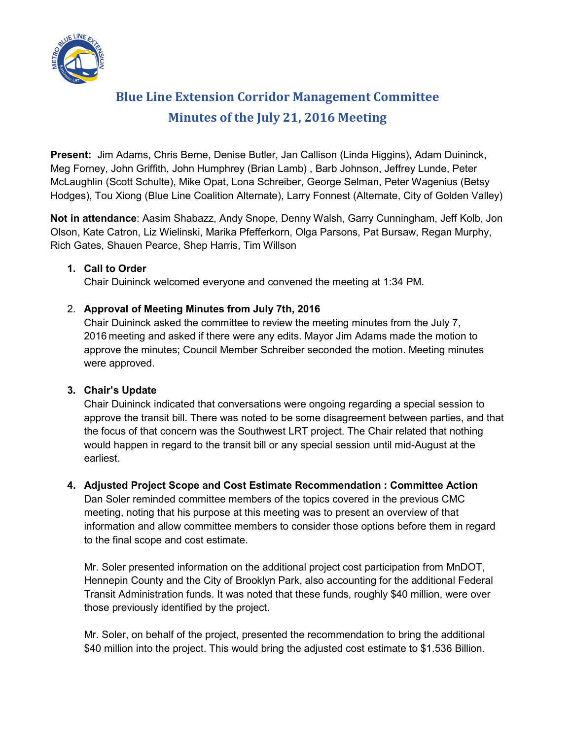

# **Blue Line Extension Corridor Management Committee Minutes of the July 21, 2016 Meeting**

**Present:** Jim Adams, Chris Berne, Denise Butler, Jan Callison (Linda Higgins), Adam Duininck, Meg Forney, John Griffith, John Humphrey (Brian Lamb) , Barb Johnson, Jeffrey Lunde, Peter McLaughlin (Scott Schulte), Mike Opat, Lona Schreiber, George Selman, Peter Wagenius (Betsy Hodges), Tou Xiong (Blue Line Coalition Alternate), Larry Fonnest (Alternate, City of Golden Valley)

**Not in attendance**: Aasim Shabazz, Andy Snope, Denny Walsh, Garry Cunningham, Jeff Kolb, Jon Olson, Kate Catron, Liz Wielinski, Marika Pfefferkorn, Olga Parsons, Pat Bursaw, Regan Murphy, Rich Gates, Shauen Pearce, Shep Harris, Tim Willson

## **1. Call to Order**

Chair Duininck welcomed everyone and convened the meeting at 1:34 PM.

## 2. **Approval of Meeting Minutes from July 7th, 2016**

Chair Duininck asked the committee to review the meeting minutes from the July 7, 2016 meeting and asked if there were any edits. Mayor Jim Adams made the motion to approve the minutes; Council Member Schreiber seconded the motion. Meeting minutes were approved.

## **3. Chair's Update**

Chair Duininck indicated that conversations were ongoing regarding a special session to approve the transit bill. There was noted to be some disagreement between parties, and that the focus of that concern was the Southwest LRT project. The Chair related that nothing would happen in regard to the transit bill or any special session until mid-August at the earliest.

## **4. Adjusted Project Scope and Cost Estimate Recommendation : Committee Action**

Dan Soler reminded committee members of the topics covered in the previous CMC meeting, noting that his purpose at this meeting was to present an overview of that information and allow committee members to consider those options before them in regard to the final scope and cost estimate.

Mr. Soler presented information on the additional project cost participation from MnDOT, Hennepin County and the City of Brooklyn Park, also accounting for the additional Federal Transit Administration funds. It was noted that these funds, roughly \$40 million, were over those previously identified by the project.

Mr. Soler, on behalf of the project, presented the recommendation to bring the additional \$40 million into the project. This would bring the adjusted cost estimate to \$1.536 Billion.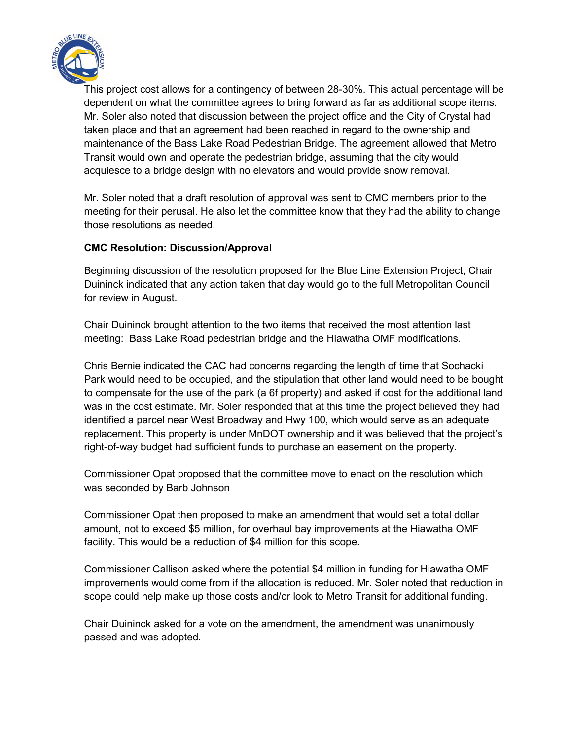

This project cost allows for a contingency of between 28-30%. This actual percentage will be dependent on what the committee agrees to bring forward as far as additional scope items. Mr. Soler also noted that discussion between the project office and the City of Crystal had taken place and that an agreement had been reached in regard to the ownership and maintenance of the Bass Lake Road Pedestrian Bridge. The agreement allowed that Metro Transit would own and operate the pedestrian bridge, assuming that the city would acquiesce to a bridge design with no elevators and would provide snow removal.

Mr. Soler noted that a draft resolution of approval was sent to CMC members prior to the meeting for their perusal. He also let the committee know that they had the ability to change those resolutions as needed.

### **CMC Resolution: Discussion/Approval**

Beginning discussion of the resolution proposed for the Blue Line Extension Project, Chair Duininck indicated that any action taken that day would go to the full Metropolitan Council for review in August.

Chair Duininck brought attention to the two items that received the most attention last meeting: Bass Lake Road pedestrian bridge and the Hiawatha OMF modifications.

Chris Bernie indicated the CAC had concerns regarding the length of time that Sochacki Park would need to be occupied, and the stipulation that other land would need to be bought to compensate for the use of the park (a 6f property) and asked if cost for the additional land was in the cost estimate. Mr. Soler responded that at this time the project believed they had identified a parcel near West Broadway and Hwy 100, which would serve as an adequate replacement. This property is under MnDOT ownership and it was believed that the project's right-of-way budget had sufficient funds to purchase an easement on the property.

Commissioner Opat proposed that the committee move to enact on the resolution which was seconded by Barb Johnson

Commissioner Opat then proposed to make an amendment that would set a total dollar amount, not to exceed \$5 million, for overhaul bay improvements at the Hiawatha OMF facility. This would be a reduction of \$4 million for this scope.

Commissioner Callison asked where the potential \$4 million in funding for Hiawatha OMF improvements would come from if the allocation is reduced. Mr. Soler noted that reduction in scope could help make up those costs and/or look to Metro Transit for additional funding.

Chair Duininck asked for a vote on the amendment, the amendment was unanimously passed and was adopted.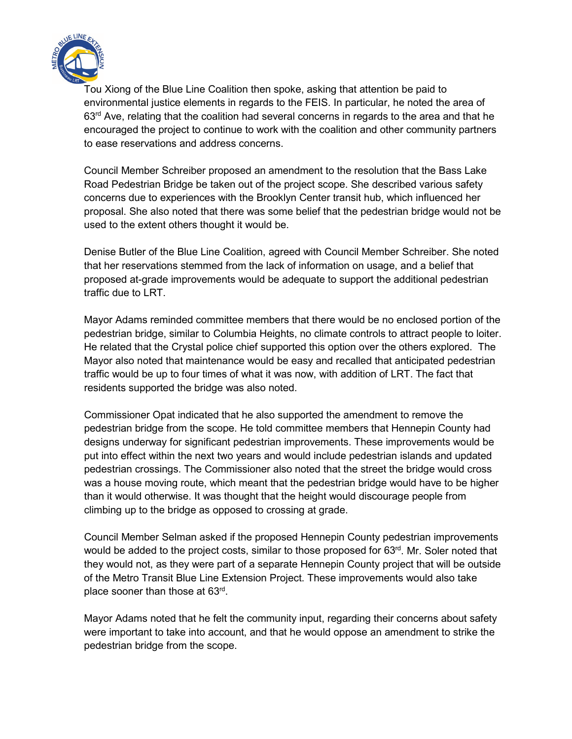

Tou Xiong of the Blue Line Coalition then spoke, asking that attention be paid to environmental justice elements in regards to the FEIS. In particular, he noted the area of  $63<sup>rd</sup>$  Ave, relating that the coalition had several concerns in regards to the area and that he encouraged the project to continue to work with the coalition and other community partners to ease reservations and address concerns.

Council Member Schreiber proposed an amendment to the resolution that the Bass Lake Road Pedestrian Bridge be taken out of the project scope. She described various safety concerns due to experiences with the Brooklyn Center transit hub, which influenced her proposal. She also noted that there was some belief that the pedestrian bridge would not be used to the extent others thought it would be.

Denise Butler of the Blue Line Coalition, agreed with Council Member Schreiber. She noted that her reservations stemmed from the lack of information on usage, and a belief that proposed at-grade improvements would be adequate to support the additional pedestrian traffic due to LRT.

Mayor Adams reminded committee members that there would be no enclosed portion of the pedestrian bridge, similar to Columbia Heights, no climate controls to attract people to loiter. He related that the Crystal police chief supported this option over the others explored. The Mayor also noted that maintenance would be easy and recalled that anticipated pedestrian traffic would be up to four times of what it was now, with addition of LRT. The fact that residents supported the bridge was also noted.

Commissioner Opat indicated that he also supported the amendment to remove the pedestrian bridge from the scope. He told committee members that Hennepin County had designs underway for significant pedestrian improvements. These improvements would be put into effect within the next two years and would include pedestrian islands and updated pedestrian crossings. The Commissioner also noted that the street the bridge would cross was a house moving route, which meant that the pedestrian bridge would have to be higher than it would otherwise. It was thought that the height would discourage people from climbing up to the bridge as opposed to crossing at grade.

Council Member Selman asked if the proposed Hennepin County pedestrian improvements would be added to the project costs, similar to those proposed for 63<sup>rd</sup>. Mr. Soler noted that they would not, as they were part of a separate Hennepin County project that will be outside of the Metro Transit Blue Line Extension Project. These improvements would also take place sooner than those at 63rd.

Mayor Adams noted that he felt the community input, regarding their concerns about safety were important to take into account, and that he would oppose an amendment to strike the pedestrian bridge from the scope.